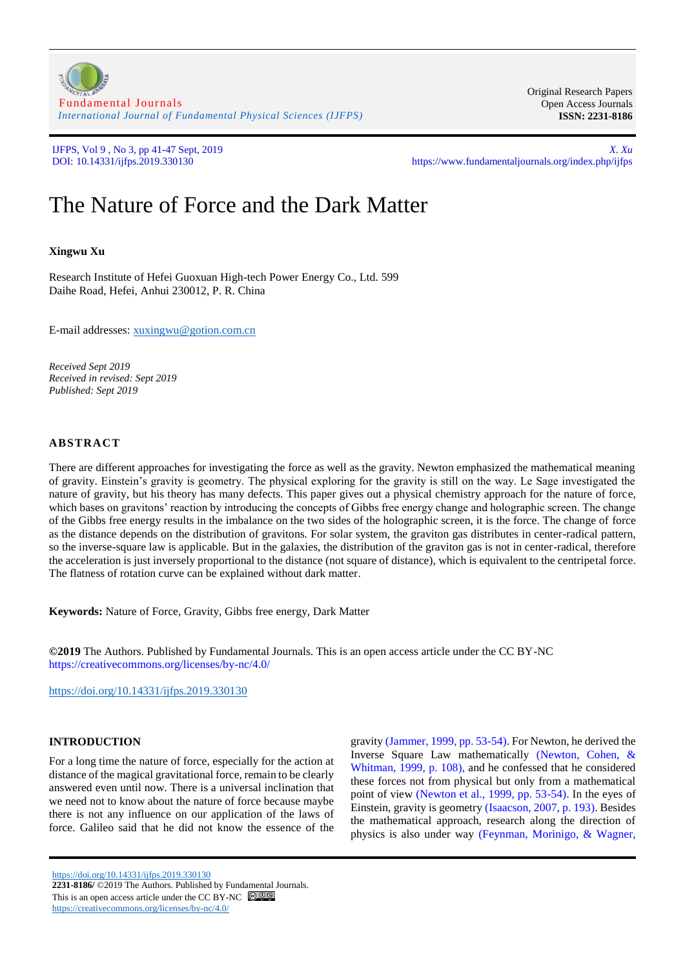

Original Research Papers Open Access Journals **ISSN: 2231-8186**

IJFPS, Vol 9 , No 3, pp 41-47 Sept, 2019 *X. Xu* https://www.fundamentaljournals.org/index.php/ijfps

# The Nature of Force and the Dark Matter

# **Xingwu Xu**

Research Institute of Hefei Guoxuan High-tech Power Energy Co., Ltd. 599 Daihe Road, Hefei, Anhui 230012, P. R. China

E-mail addresses: [xuxingwu@gotion.com.cn](mailto:xuxingwu@gotion.com.cn)

*Received Sept 2019 Received in revised: Sept 2019 Published: Sept 2019*

## **ABSTRACT**

There are different approaches for investigating the force as well as the gravity. Newton emphasized the mathematical meaning of gravity. Einstein's gravity is geometry. The physical exploring for the gravity is still on the way. Le Sage investigated the nature of gravity, but his theory has many defects. This paper gives out a physical chemistry approach for the nature of force, which bases on gravitons' reaction by introducing the concepts of Gibbs free energy change and holographic screen. The change of the Gibbs free energy results in the imbalance on the two sides of the holographic screen, it is the force. The change of force as the distance depends on the distribution of gravitons. For solar system, the graviton gas distributes in center-radical pattern, so the inverse-square law is applicable. But in the galaxies, the distribution of the graviton gas is not in center-radical, therefore the acceleration is just inversely proportional to the distance (not square of distance), which is equivalent to the centripetal force. The flatness of rotation curve can be explained without dark matter.

**Keywords:** Nature of Force, Gravity, Gibbs free energy, Dark Matter

**©2019** The Authors. Published by Fundamental Journals. This is an open access article under the CC BY-NC <https://creativecommons.org/licenses/by-nc/4.0/>

<https://doi.org/10.14331/ijfps.2019.330130>

## **INTRODUCTION**

For a long time the nature of force, especially for the action at distance of the magical gravitational force, remain to be clearly answered even until now. There is a universal inclination that we need not to know about the nature of force because maybe there is not any influence on our application of the laws of force. Galileo said that he did not know the essence of the

gravity [\(Jammer, 1999, pp. 53-54\)](#page-6-0). For Newton, he derived the Inverse Square Law mathematically [\(Newton, Cohen, &](#page-6-1)  [Whitman, 1999, p. 108\)](#page-6-1), and he confessed that he considered these forces not from physical but only from a mathematical point of view [\(Newton et al., 1999, pp. 53-54\)](#page-6-1). In the eyes of Einstein, gravity is geometry [\(Isaacson, 2007, p. 193\)](#page-6-2). Besides the mathematical approach, research along the direction of physics is also under way [\(Feynman, Morinigo, & Wagner,](#page-6-3) 

<https://doi.org/10.14331/ijfps.2019.330130> **2231-8186/** ©2019 The Authors. Published by Fundamental Journals. This is an open access article under the CC BY-NC  $\bigcirc$   $\bigcirc$   $\bigcirc$ 

<https://creativecommons.org/licenses/by-nc/4.0/>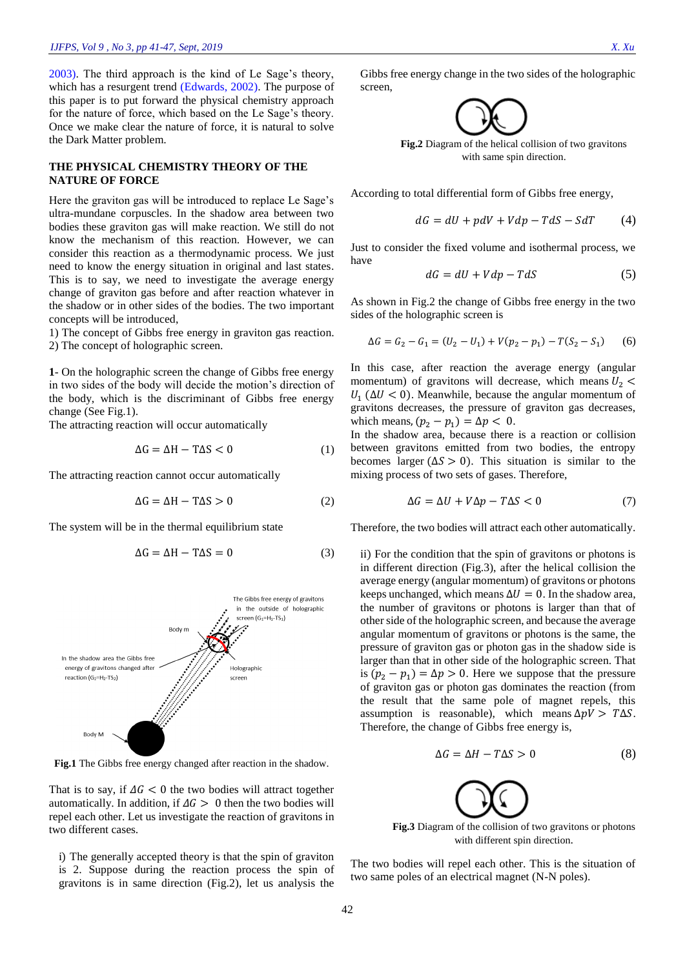[2003\)](#page-6-3). The third approach is the kind of Le Sage's theory, which has a resurgent trend [\(Edwards, 2002\)](#page-6-4). The purpose of this paper is to put forward the physical chemistry approach for the nature of force, which based on the Le Sage's theory. Once we make clear the nature of force, it is natural to solve the Dark Matter problem.

#### **THE PHYSICAL CHEMISTRY THEORY OF THE NATURE OF FORCE**

Here the graviton gas will be introduced to replace Le Sage's ultra-mundane corpuscles. In the shadow area between two bodies these graviton gas will make reaction. We still do not know the mechanism of this reaction. However, we can consider this reaction as a thermodynamic process. We just need to know the energy situation in original and last states. This is to say, we need to investigate the average energy change of graviton gas before and after reaction whatever in the shadow or in other sides of the bodies. The two important concepts will be introduced,

1) The concept of Gibbs free energy in graviton gas reaction. 2) The concept of holographic screen.

**1**- On the holographic screen the change of Gibbs free energy in two sides of the body will decide the motion's direction of the body, which is the discriminant of Gibbs free energy change (See Fig.1).

The attracting reaction will occur automatically

$$
\Delta G = \Delta H - T\Delta S < 0 \tag{1}
$$

The attracting reaction cannot occur automatically

$$
\Delta G = \Delta H - T\Delta S > 0 \tag{2}
$$

The system will be in the thermal equilibrium state

$$
\Delta G = \Delta H - T\Delta S = 0 \tag{3}
$$



**Fig.1** The Gibbs free energy changed after reaction in the shadow.

That is to say, if  $\Delta G < 0$  the two bodies will attract together automatically. In addition, if  $\Delta G > 0$  then the two bodies will repel each other. Let us investigate the reaction of gravitons in two different cases.

i) The generally accepted theory is that the spin of graviton is 2. Suppose during the reaction process the spin of gravitons is in same direction (Fig.2), let us analysis the Gibbs free energy change in the two sides of the holographic screen,



with same spin direction.

According to total differential form of Gibbs free energy,

$$
dG = dU + pdV + Vdp - TdS - SdT \tag{4}
$$

Just to consider the fixed volume and isothermal process, we have

$$
dG = dU + Vdp - TdS \tag{5}
$$

As shown in Fig.2 the change of Gibbs free energy in the two sides of the holographic screen is

$$
\Delta G = G_2 - G_1 = (U_2 - U_1) + V(p_2 - p_1) - T(S_2 - S_1) \tag{6}
$$

In this case, after reaction the average energy (angular momentum) of gravitons will decrease, which means  $U_2$  <  $U_1$  ( $\Delta U$  < 0). Meanwhile, because the angular momentum of gravitons decreases, the pressure of graviton gas decreases, which means,  $(p_2 - p_1) = \Delta p < 0$ .

In the shadow area, because there is a reaction or collision between gravitons emitted from two bodies, the entropy becomes larger ( $\Delta S > 0$ ). This situation is similar to the mixing process of two sets of gases. Therefore,

$$
\Delta G = \Delta U + V \Delta p - T \Delta S < 0 \tag{7}
$$

Therefore, the two bodies will attract each other automatically.

ii) For the condition that the spin of gravitons or photons is in different direction (Fig.3), after the helical collision the average energy (angular momentum) of gravitons or photons keeps unchanged, which means  $\Delta U = 0$ . In the shadow area, the number of gravitons or photons is larger than that of other side of the holographic screen, and because the average angular momentum of gravitons or photons is the same, the pressure of graviton gas or photon gas in the shadow side is larger than that in other side of the holographic screen. That is  $(p_2 - p_1) = \Delta p > 0$ . Here we suppose that the pressure of graviton gas or photon gas dominates the reaction (from the result that the same pole of magnet repels, this assumption is reasonable), which means  $\Delta pV > T\Delta S$ . Therefore, the change of Gibbs free energy is,

$$
\Delta G = \Delta H - T\Delta S > 0 \tag{8}
$$



**Fig.3** Diagram of the collision of two gravitons or photons with different spin direction.

The two bodies will repel each other. This is the situation of two same poles of an electrical magnet (N-N poles).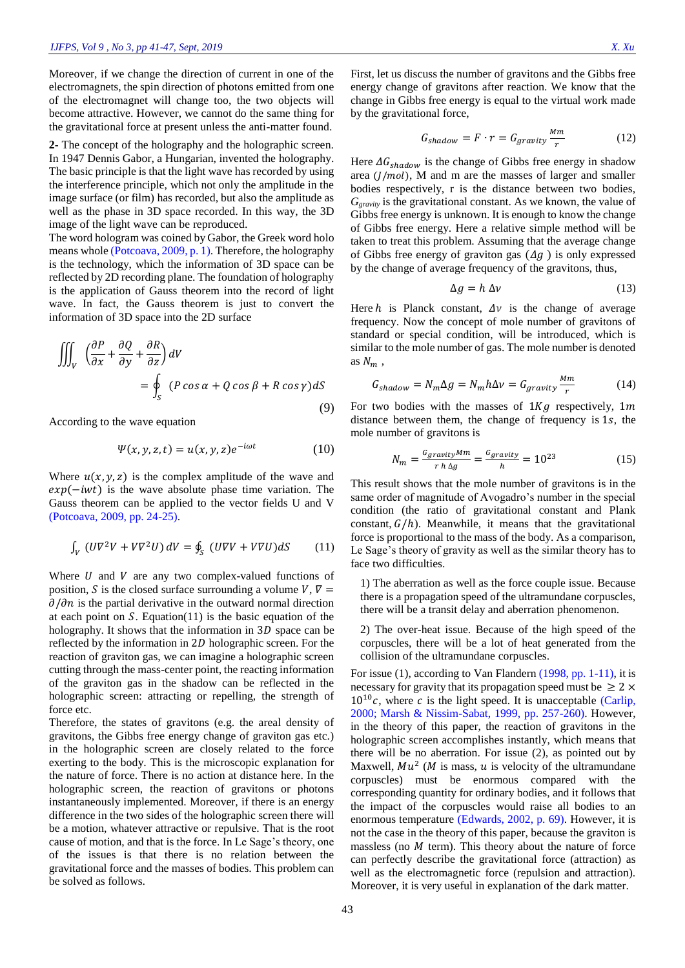Moreover, if we change the direction of current in one of the electromagnets, the spin direction of photons emitted from one of the electromagnet will change too, the two objects will become attractive. However, we cannot do the same thing for the gravitational force at present unless the anti-matter found.

**2-** The concept of the holography and the holographic screen. In 1947 Dennis Gabor, a Hungarian, invented the holography. The basic principle is that the light wave has recorded by using the interference principle, which not only the amplitude in the image surface (or film) has recorded, but also the amplitude as well as the phase in 3D space recorded. In this way, the 3D image of the light wave can be reproduced.

The word hologram was coined by Gabor, the Greek word holo means whole [\(Potcoava, 2009, p. 1\)](#page-6-5). Therefore, the holography is the technology, which the information of 3D space can be reflected by 2D recording plane. The foundation of holography is the application of Gauss theorem into the record of light wave. In fact, the Gauss theorem is just to convert the information of 3D space into the 2D surface

$$
\iiint_{V} \left( \frac{\partial P}{\partial x} + \frac{\partial Q}{\partial y} + \frac{\partial R}{\partial z} \right) dV
$$
  
= 
$$
\oint_{S} (P \cos \alpha + Q \cos \beta + R \cos \gamma) dS
$$
(9)

According to the wave equation

$$
\Psi(x, y, z, t) = u(x, y, z)e^{-i\omega t}
$$
 (10)

Where  $u(x, y, z)$  is the complex amplitude of the wave and  $exp(-iwt)$  is the wave absolute phase time variation. The Gauss theorem can be applied to the vector fields U and V [\(Potcoava, 2009, pp. 24-25\)](#page-6-5).

$$
\int_{V} \left( U\nabla^{2}V + V\nabla^{2}U \right) dV = \oint_{S} \left( U\nabla V + V\nabla U \right) dS \tag{11}
$$

Where  $U$  and  $V$  are any two complex-valued functions of position, S is the closed surface surrounding a volume V,  $\nabla =$  $\partial/\partial n$  is the partial derivative in the outward normal direction at each point on  $S$ . Equation(11) is the basic equation of the holography. It shows that the information in  $3D$  space can be reflected by the information in  $2D$  holographic screen. For the reaction of graviton gas, we can imagine a holographic screen cutting through the mass-center point, the reacting information of the graviton gas in the shadow can be reflected in the holographic screen: attracting or repelling, the strength of force etc.

Therefore, the states of gravitons (e.g. the areal density of gravitons, the Gibbs free energy change of graviton gas etc.) in the holographic screen are closely related to the force exerting to the body. This is the microscopic explanation for the nature of force. There is no action at distance here. In the holographic screen, the reaction of gravitons or photons instantaneously implemented. Moreover, if there is an energy difference in the two sides of the holographic screen there will be a motion, whatever attractive or repulsive. That is the root cause of motion, and that is the force. In Le Sage's theory, one of the issues is that there is no relation between the gravitational force and the masses of bodies. This problem can be solved as follows.

First, let us discuss the number of gravitons and the Gibbs free energy change of gravitons after reaction. We know that the change in Gibbs free energy is equal to the virtual work made by the gravitational force,

$$
G_{shadow} = F \cdot r = G_{gravity} \frac{Mm}{r}
$$
 (12)

Here  $\Delta G_{shadow}$  is the change of Gibbs free energy in shadow area  $(J/mol)$ , M and m are the masses of larger and smaller bodies respectively, r is the distance between two bodies, *Ggravity* is the gravitational constant. As we known, the value of Gibbs free energy is unknown. It is enough to know the change of Gibbs free energy. Here a relative simple method will be taken to treat this problem. Assuming that the average change of Gibbs free energy of graviton gas  $(\Delta g)$  is only expressed by the change of average frequency of the gravitons, thus,

$$
\Delta g = h \, \Delta v \tag{13}
$$

Here h is Planck constant,  $\Delta v$  is the change of average frequency. Now the concept of mole number of gravitons of standard or special condition, will be introduced, which is similar to the mole number of gas. The mole number is denoted as  $N_m$ ,

$$
G_{shadow} = N_m \Delta g = N_m h \Delta v = G_{gravity} \frac{Mm}{r}
$$
 (14)

For two bodies with the masses of  $1 Kg$  respectively,  $1 m$ distance between them, the change of frequency is  $1s$ , the mole number of gravitons is

$$
N_m = \frac{G_{gravity} Mm}{r \, h \, \Delta g} = \frac{G_{gravity}}{h} = 10^{23} \tag{15}
$$

This result shows that the mole number of gravitons is in the same order of magnitude of Avogadro's number in the special condition (the ratio of gravitational constant and Plank constant,  $G/h$ ). Meanwhile, it means that the gravitational force is proportional to the mass of the body. As a comparison, Le Sage's theory of gravity as well as the similar theory has to face two difficulties.

1) The aberration as well as the force couple issue. Because there is a propagation speed of the ultramundane corpuscles, there will be a transit delay and aberration phenomenon.

2) The over-heat issue. Because of the high speed of the corpuscles, there will be a lot of heat generated from the collision of the ultramundane corpuscles.

For issue (1), according to Van Flandern [\(1998, pp. 1-11\),](#page-6-6) it is necessary for gravity that its propagation speed must be  $\geq 2 \times$  $10^{10}c$ , where c is the light speed. It is unacceptable (Carlip, [2000;](#page-6-7) [Marsh & Nissim-Sabat, 1999, pp. 257-260\)](#page-6-8). However, in the theory of this paper, the reaction of gravitons in the holographic screen accomplishes instantly, which means that there will be no aberration. For issue (2), as pointed out by Maxwell,  $Mu^2$  (*M* is mass, *u* is velocity of the ultramundane corpuscles) must be enormous compared with the corresponding quantity for ordinary bodies, and it follows that the impact of the corpuscles would raise all bodies to an enormous temperature [\(Edwards, 2002, p. 69\)](#page-6-4). However, it is not the case in the theory of this paper, because the graviton is massless (no  $M$  term). This theory about the nature of force can perfectly describe the gravitational force (attraction) as well as the electromagnetic force (repulsion and attraction). Moreover, it is very useful in explanation of the dark matter.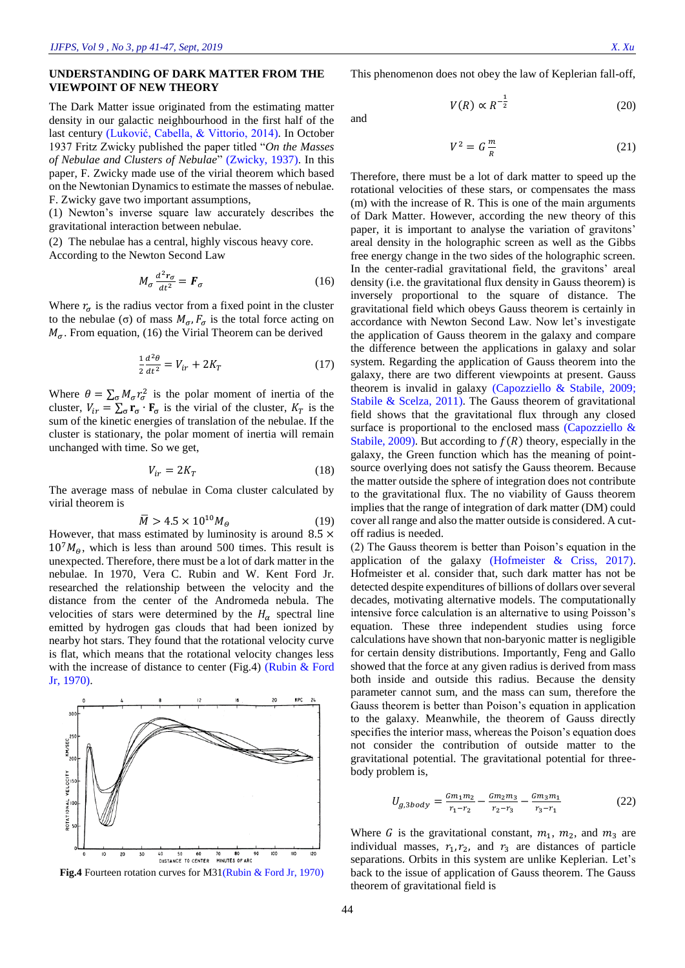## **UNDERSTANDING OF DARK MATTER FROM THE VIEWPOINT OF NEW THEORY**

The Dark Matter issue originated from the estimating matter density in our galactic neighbourhood in the first half of the last century [\(Luković, Cabella, & Vittorio, 2014\)](#page-6-9). In October 1937 Fritz Zwicky published the paper titled "*On the Masses of Nebulae and Clusters of Nebulae*" [\(Zwicky, 1937\)](#page-6-10). In this paper, F. Zwicky made use of the virial theorem which based on the Newtonian Dynamics to estimate the masses of nebulae. F. Zwicky gave two important assumptions,

(1) Newton's inverse square law accurately describes the gravitational interaction between nebulae.

(2) The nebulae has a central, highly viscous heavy core. According to the Newton Second Law

$$
M_{\sigma} \frac{d^2 r_{\sigma}}{dt^2} = \boldsymbol{F}_{\sigma} \tag{16}
$$

Where  $r_{\sigma}$  is the radius vector from a fixed point in the cluster to the nebulae (σ) of mass  $M_{\sigma}$ ,  $F_{\sigma}$  is the total force acting on  $M_{\sigma}$ . From equation, (16) the Virial Theorem can be derived

$$
\frac{1}{2}\frac{d^2\theta}{dt^2} = V_{ir} + 2K_T
$$
 (17)

Where  $\theta = \sum_{\sigma} M_{\sigma} r_{\sigma}^2$  is the polar moment of inertia of the cluster,  $V_{ir} = \sum_{\sigma} \mathbf{r}_{\sigma} \cdot \mathbf{F}_{\sigma}$  is the virial of the cluster,  $K_T$  is the sum of the kinetic energies of translation of the nebulae. If the cluster is stationary, the polar moment of inertia will remain unchanged with time. So we get,

$$
V_{ir} = 2K_T \tag{18}
$$

The average mass of nebulae in Coma cluster calculated by virial theorem is

$$
\overline{M} > 4.5 \times 10^{10} M_{\Theta} \tag{19}
$$

However, that mass estimated by luminosity is around  $8.5 \times$  $10<sup>7</sup>M<sub>g</sub>$ , which is less than around 500 times. This result is unexpected. Therefore, there must be a lot of dark matter in the nebulae. In 1970, Vera C. Rubin and W. Kent Ford Jr. researched the relationship between the velocity and the distance from the center of the Andromeda nebula. The velocities of stars were determined by the  $H_{\alpha}$  spectral line emitted by hydrogen gas clouds that had been ionized by nearby hot stars. They found that the rotational velocity curve is flat, which means that the rotational velocity changes less with the increase of distance to center (Fig.4) (Rubin & Ford [Jr, 1970\)](#page-6-11).



**Fig.4** Fourteen rotation curves for M31[\(Rubin & Ford Jr, 1970\)](#page-6-11)

 $(20)$ 

This phenomenon does not obey the law of Keplerian fall-off,

 $V(R) \propto R^{-\frac{1}{2}}$ 

and

$$
V^2 = G \frac{m}{R} \tag{21}
$$

Therefore, there must be a lot of dark matter to speed up the rotational velocities of these stars, or compensates the mass (m) with the increase of R. This is one of the main arguments of Dark Matter. However, according the new theory of this paper, it is important to analyse the variation of gravitons' areal density in the holographic screen as well as the Gibbs free energy change in the two sides of the holographic screen. In the center-radial gravitational field, the gravitons' areal density (i.e. the gravitational flux density in Gauss theorem) is inversely proportional to the square of distance. The gravitational field which obeys Gauss theorem is certainly in accordance with Newton Second Law. Now let's investigate the application of Gauss theorem in the galaxy and compare the difference between the applications in galaxy and solar system. Regarding the application of Gauss theorem into the galaxy, there are two different viewpoints at present. Gauss theorem is invalid in galaxy [\(Capozziello & Stabile, 2009;](#page-6-12) [Stabile & Scelza, 2011\)](#page-6-13). The Gauss theorem of gravitational field shows that the gravitational flux through any closed surface is proportional to the enclosed mass (Capozziello & [Stabile, 2009\)](#page-6-12). But according to  $f(R)$  theory, especially in the galaxy, the Green function which has the meaning of pointsource overlying does not satisfy the Gauss theorem. Because the matter outside the sphere of integration does not contribute to the gravitational flux. The no viability of Gauss theorem implies that the range of integration of dark matter (DM) could cover all range and also the matter outside is considered. A cutoff radius is needed.

(2) The Gauss theorem is better than Poison's equation in the application of the galaxy [\(Hofmeister & Criss, 2017\)](#page-6-14). Hofmeister et al. consider that, such dark matter has not be detected despite expenditures of billions of dollars over several decades, motivating alternative models. The computationally intensive force calculation is an alternative to using Poisson's equation. These three independent studies using force calculations have shown that non-baryonic matter is negligible for certain density distributions. Importantly, Feng and Gallo showed that the force at any given radius is derived from mass both inside and outside this radius. Because the density parameter cannot sum, and the mass can sum, therefore the Gauss theorem is better than Poison's equation in application to the galaxy. Meanwhile, the theorem of Gauss directly specifies the interior mass, whereas the Poison's equation does not consider the contribution of outside matter to the gravitational potential. The gravitational potential for threebody problem is,

$$
U_{g,3body} = \frac{Gm_1m_2}{r_1 - r_2} - \frac{Gm_2m_3}{r_2 - r_3} - \frac{Gm_3m_1}{r_3 - r_1}
$$
(22)

Where G is the gravitational constant,  $m_1$ ,  $m_2$ , and  $m_3$  are individual masses,  $r_1, r_2$ , and  $r_3$  are distances of particle separations. Orbits in this system are unlike Keplerian. Let's back to the issue of application of Gauss theorem. The Gauss theorem of gravitational field is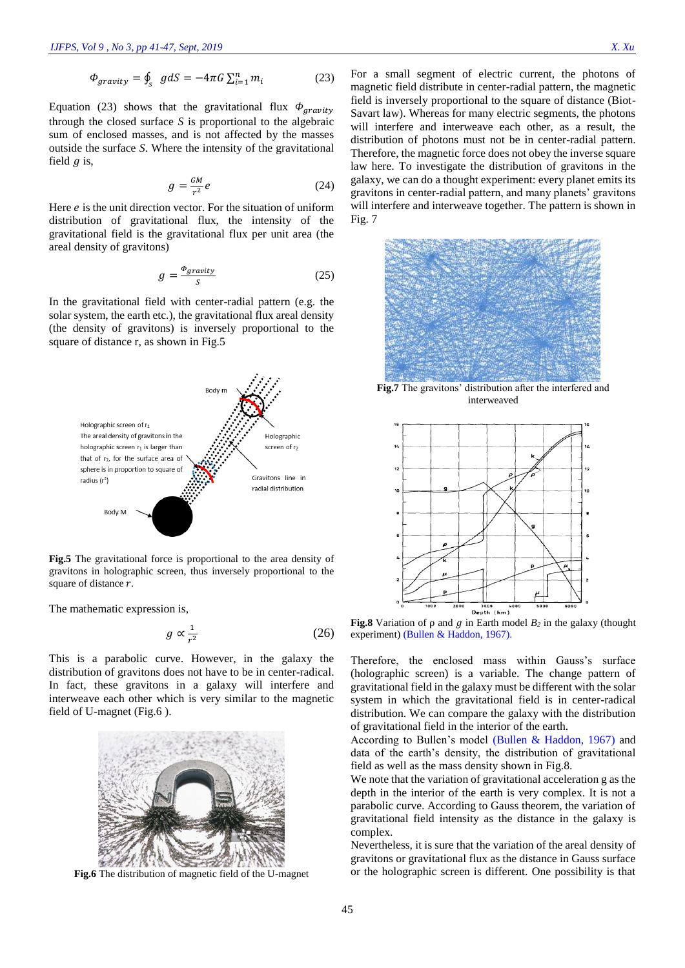$$
\Phi_{gravity} = \oint_{S} g dS = -4\pi G \sum_{i=1}^{n} m_{i} \tag{23}
$$

Equation (23) shows that the gravitational flux  $\Phi_{gravity}$ through the closed surface *S* is proportional to the algebraic sum of enclosed masses, and is not affected by the masses outside the surface *S*. Where the intensity of the gravitational field  $q$  is,

$$
g = \frac{GM}{r^2}e\tag{24}
$$

Here  $e$  is the unit direction vector. For the situation of uniform distribution of gravitational flux, the intensity of the gravitational field is the gravitational flux per unit area (the areal density of gravitons)

$$
g = \frac{\Phi_{gravity}}{S} \tag{25}
$$

In the gravitational field with center-radial pattern (e.g. the solar system, the earth etc.), the gravitational flux areal density (the density of gravitons) is inversely proportional to the square of distance r, as shown in Fig.5



**Fig.5** The gravitational force is proportional to the area density of gravitons in holographic screen, thus inversely proportional to the square of distance  $r$ .

The mathematic expression is,

$$
g \propto \frac{1}{r^2} \tag{26}
$$

This is a parabolic curve. However, in the galaxy the distribution of gravitons does not have to be in center-radical. In fact, these gravitons in a galaxy will interfere and interweave each other which is very similar to the magnetic field of U-magnet (Fig.6 ).



**Fig.6** The distribution of magnetic field of the U-magnet

For a small segment of electric current, the photons of magnetic field distribute in center-radial pattern, the magnetic field is inversely proportional to the square of distance (Biot-Savart law). Whereas for many electric segments, the photons will interfere and interweave each other, as a result, the distribution of photons must not be in center-radial pattern. Therefore, the magnetic force does not obey the inverse square law here. To investigate the distribution of gravitons in the galaxy, we can do a thought experiment: every planet emits its gravitons in center-radial pattern, and many planets' gravitons will interfere and interweave together. The pattern is shown in Fig. 7



**Fig.7** The gravitons' distribution after the interfered and interweaved



**Fig.8** Variation of  $\rho$  and  $q$  in Earth model  $B_2$  in the galaxy (thought experiment) [\(Bullen & Haddon, 1967\)](#page-6-15).

Therefore, the enclosed mass within Gauss's surface (holographic screen) is a variable. The change pattern of gravitational field in the galaxy must be different with the solar system in which the gravitational field is in center-radical distribution. We can compare the galaxy with the distribution of gravitational field in the interior of the earth.

According to Bullen's model [\(Bullen & Haddon, 1967\)](#page-6-15) and data of the earth's density, the distribution of gravitational field as well as the mass density shown in Fig.8.

We note that the variation of gravitational acceleration g as the depth in the interior of the earth is very complex. It is not a parabolic curve. According to Gauss theorem, the variation of gravitational field intensity as the distance in the galaxy is complex.

Nevertheless, it is sure that the variation of the areal density of gravitons or gravitational flux as the distance in Gauss surface or the holographic screen is different. One possibility is that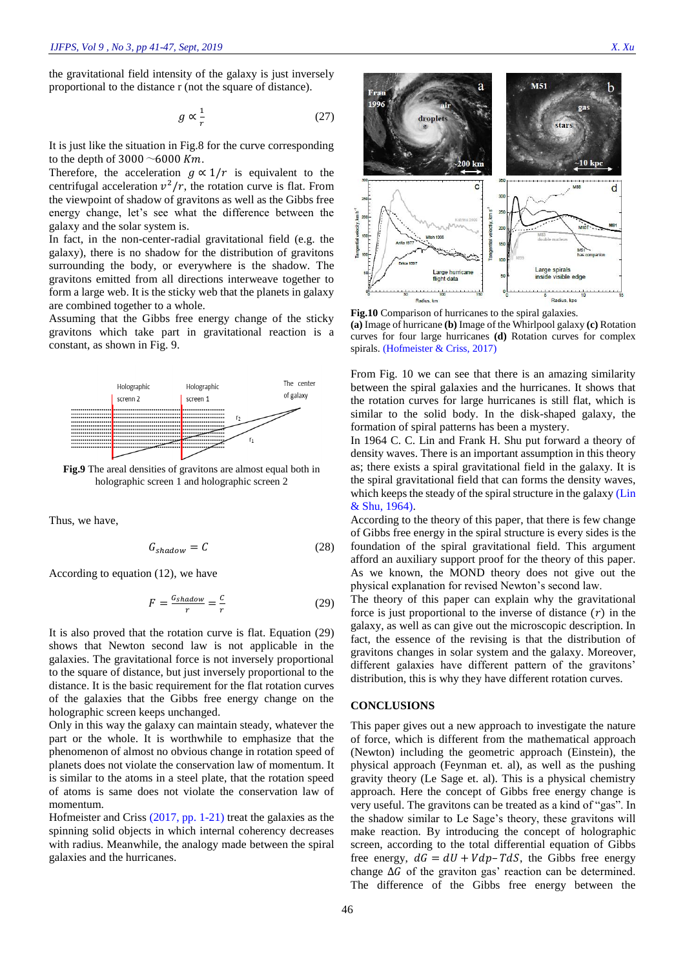the gravitational field intensity of the galaxy is just inversely proportional to the distance r (not the square of distance).

$$
g \propto \frac{1}{r} \tag{27}
$$

It is just like the situation in Fig.8 for the curve corresponding to the depth of  $3000 \sim 6000$  Km.

Therefore, the acceleration  $g \propto 1/r$  is equivalent to the centrifugal acceleration  $v^2/r$ , the rotation curve is flat. From the viewpoint of shadow of gravitons as well as the Gibbs free energy change, let's see what the difference between the galaxy and the solar system is.

In fact, in the non-center-radial gravitational field (e.g. the galaxy), there is no shadow for the distribution of gravitons surrounding the body, or everywhere is the shadow. The gravitons emitted from all directions interweave together to form a large web. It is the sticky web that the planets in galaxy are combined together to a whole.

Assuming that the Gibbs free energy change of the sticky gravitons which take part in gravitational reaction is a constant, as shown in Fig. 9.



**Fig.9** The areal densities of gravitons are almost equal both in holographic screen 1 and holographic screen 2

Thus, we have,

$$
G_{shadow} = C \tag{28}
$$

According to equation (12), we have

$$
F = \frac{G_{shadow}}{r} = \frac{c}{r}
$$
 (29)

It is also proved that the rotation curve is flat. Equation (29) shows that Newton second law is not applicable in the galaxies. The gravitational force is not inversely proportional to the square of distance, but just inversely proportional to the distance. It is the basic requirement for the flat rotation curves of the galaxies that the Gibbs free energy change on the holographic screen keeps unchanged.

Only in this way the galaxy can maintain steady, whatever the part or the whole. It is worthwhile to emphasize that the phenomenon of almost no obvious change in rotation speed of planets does not violate the conservation law of momentum. It is similar to the atoms in a steel plate, that the rotation speed of atoms is same does not violate the conservation law of momentum.

[Hofmeister and Criss \(2017, pp. 1-21\)](#page-6-14) treat the galaxies as the spinning solid objects in which internal coherency decreases with radius. Meanwhile, the analogy made between the spiral galaxies and the hurricanes.



**Fig.10** Comparison of hurricanes to the spiral galaxies. **(a)** Image of hurricane **(b)** Image of the Whirlpool galaxy **(c)** Rotation curves for four large hurricanes **(d)** Rotation curves for complex spirals. [\(Hofmeister & Criss, 2017\)](#page-6-14)

From Fig. 10 we can see that there is an amazing similarity between the spiral galaxies and the hurricanes. It shows that the rotation curves for large hurricanes is still flat, which is similar to the solid body. In the disk-shaped galaxy, the formation of spiral patterns has been a mystery.

In 1964 C. C. Lin and Frank H. Shu put forward a theory of density waves. There is an important assumption in this theory as; there exists a spiral gravitational field in the galaxy. It is the spiral gravitational field that can forms the density waves, which keeps the steady of the spiral structure in the galaxy (Lin [& Shu, 1964\)](#page-6-16).

According to the theory of this paper, that there is few change of Gibbs free energy in the spiral structure is every sides is the foundation of the spiral gravitational field. This argument afford an auxiliary support proof for the theory of this paper. As we known, the MOND theory does not give out the physical explanation for revised Newton's second law.

The theory of this paper can explain why the gravitational force is just proportional to the inverse of distance  $(r)$  in the galaxy, as well as can give out the microscopic description. In fact, the essence of the revising is that the distribution of gravitons changes in solar system and the galaxy. Moreover, different galaxies have different pattern of the gravitons' distribution, this is why they have different rotation curves.

#### **CONCLUSIONS**

This paper gives out a new approach to investigate the nature of force, which is different from the mathematical approach (Newton) including the geometric approach (Einstein), the physical approach (Feynman et. al), as well as the pushing gravity theory (Le Sage et. al). This is a physical chemistry approach. Here the concept of Gibbs free energy change is very useful. The gravitons can be treated as a kind of "gas". In the shadow similar to Le Sage's theory, these gravitons will make reaction. By introducing the concept of holographic screen, according to the total differential equation of Gibbs free energy,  $dG = dU + Vdp - TdS$ , the Gibbs free energy change  $\Delta G$  of the graviton gas' reaction can be determined. The difference of the Gibbs free energy between the